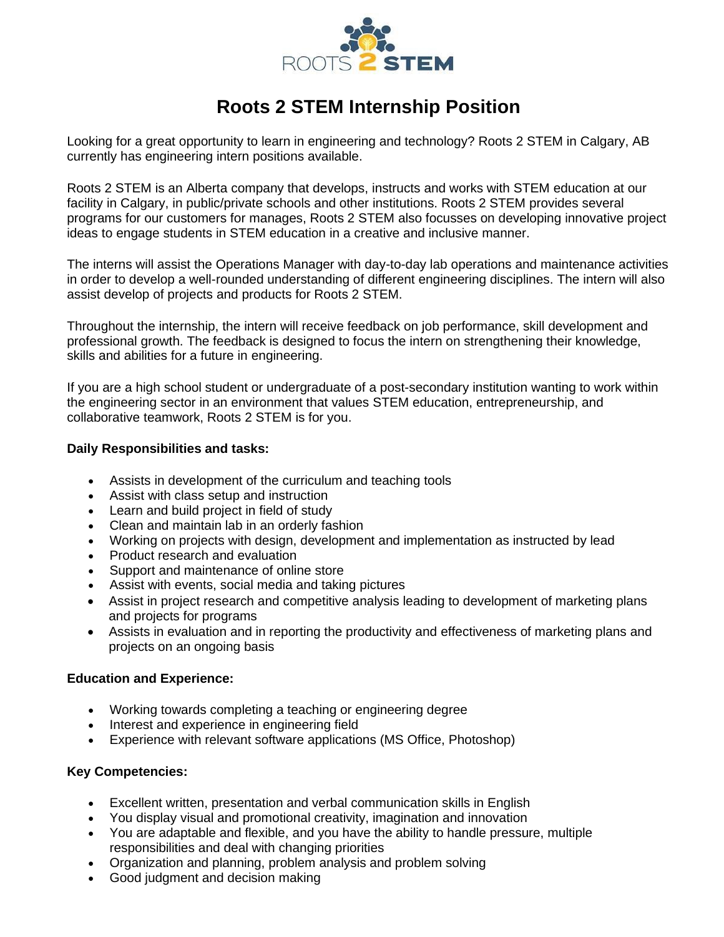

# **Roots 2 STEM Internship Position**

Looking for a great opportunity to learn in engineering and technology? Roots 2 STEM in Calgary, AB currently has engineering intern positions available.

Roots 2 STEM is an Alberta company that develops, instructs and works with STEM education at our facility in Calgary, in public/private schools and other institutions. Roots 2 STEM provides several programs for our customers for manages, Roots 2 STEM also focusses on developing innovative project ideas to engage students in STEM education in a creative and inclusive manner.

The interns will assist the Operations Manager with day-to-day lab operations and maintenance activities in order to develop a well-rounded understanding of different engineering disciplines. The intern will also assist develop of projects and products for Roots 2 STEM.

Throughout the internship, the intern will receive feedback on job performance, skill development and professional growth. The feedback is designed to focus the intern on strengthening their knowledge, skills and abilities for a future in engineering.

If you are a high school student or undergraduate of a post-secondary institution wanting to work within the engineering sector in an environment that values STEM education, entrepreneurship, and collaborative teamwork, Roots 2 STEM is for you.

### **Daily Responsibilities and tasks:**

- Assists in development of the curriculum and teaching tools
- Assist with class setup and instruction
- Learn and build project in field of study
- Clean and maintain lab in an orderly fashion
- Working on projects with design, development and implementation as instructed by lead
- Product research and evaluation
- Support and maintenance of online store
- Assist with events, social media and taking pictures
- Assist in project research and competitive analysis leading to development of marketing plans and projects for programs
- Assists in evaluation and in reporting the productivity and effectiveness of marketing plans and projects on an ongoing basis

#### **Education and Experience:**

- Working towards completing a teaching or engineering degree
- Interest and experience in engineering field
- Experience with relevant software applications (MS Office, Photoshop)

#### **Key Competencies:**

- Excellent written, presentation and verbal communication skills in English
- You display visual and promotional creativity, imagination and innovation
- You are adaptable and flexible, and you have the ability to handle pressure, multiple responsibilities and deal with changing priorities
- Organization and planning, problem analysis and problem solving
- Good judgment and decision making